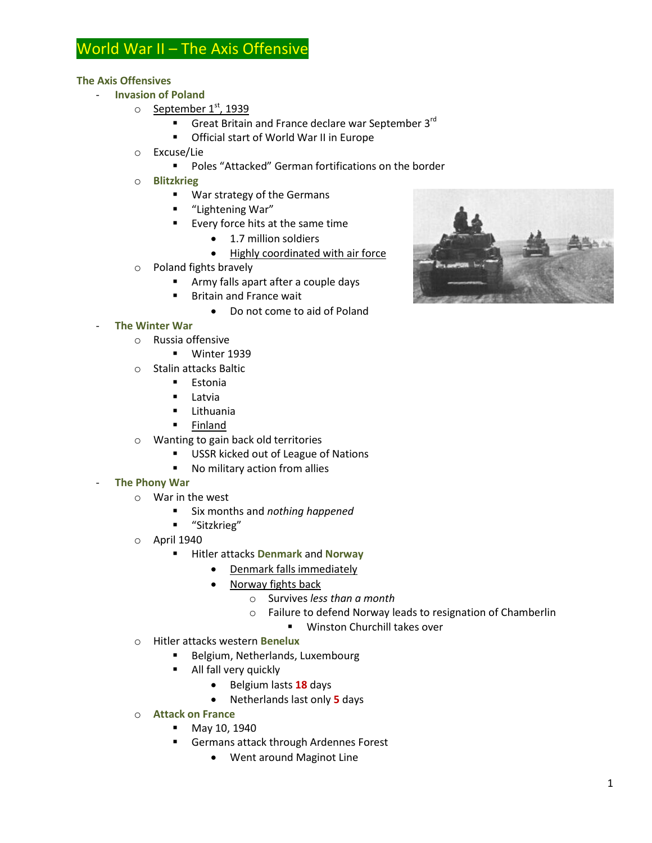# World War II – The Axis Offensive

## **The Axis Offensives**

- **Invasion of Poland**
	- $\circ$  September 1st, 1939
		- Great Britain and France declare war September  $3^{\text{rd}}$
		- Official start of World War II in Europe
	- o Excuse/Lie
		- Poles "Attacked" German fortifications on the border
	- o **Blitzkrieg**
		- War strategy of the Germans
		- "Lightening War"
		- **EVERY** force hits at the same time
			- 1.7 million soldiers
			- Highly coordinated with air force
	- o Poland fights bravely
		- **Army falls apart after a couple days**
		- **Britain and France wait** 
			- Do not come to aid of Poland

# - **The Winter War**

- o Russia offensive
	- **Winter 1939**
- o Stalin attacks Baltic
	- **Estonia**
	- **Latvia**
	- **E** Lithuania
	- **Finland**
- o Wanting to gain back old territories
	- **USSR kicked out of League of Nations**
	- No military action from allies

### **The Phony War**

- o War in the west
	- Six months and *nothing happened*
	- "Sitzkrieg"
- o April 1940
	- Hitler attacks **Denmark** and **Norway**
		- Denmark falls immediately
		- Norway fights back
			- o Survives *less than a month*
			- o Failure to defend Norway leads to resignation of Chamberlin
				- **Winston Churchill takes over**
- o Hitler attacks western **Benelux**
	- Belgium, Netherlands, Luxembourg
	- All fall very quickly
		- Belgium lasts **18** days
		- Netherlands last only **5** days
- o **Attack on France**
	- **May 10, 1940**
	- **Germans attack through Ardennes Forest** 
		- Went around Maginot Line

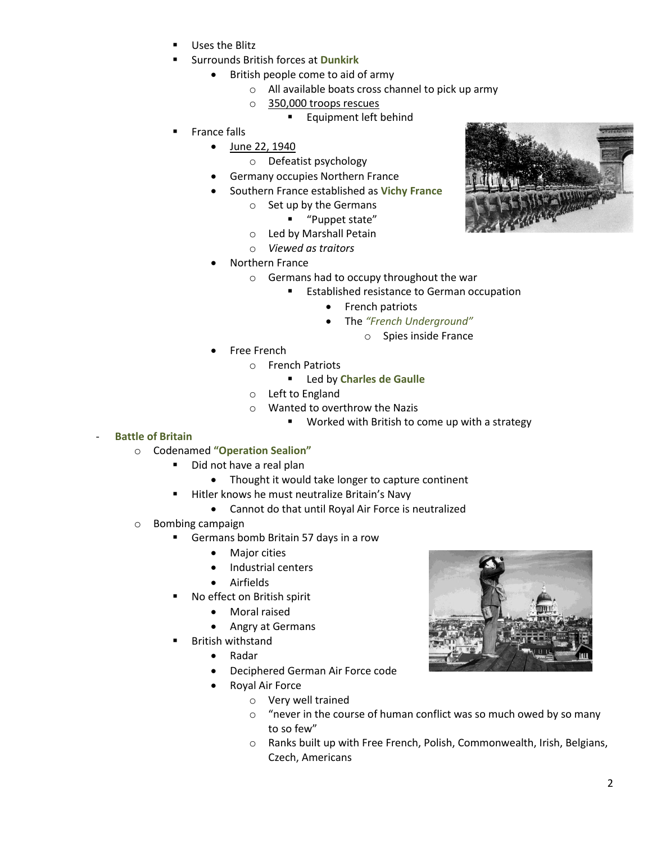- Uses the Blitz
- Surrounds British forces at **Dunkirk**
	- British people come to aid of army
		- o All available boats cross channel to pick up army
		- o 350,000 troops rescues
			- **Equipment left behind**
- France falls
	- June 22, 1940
		- o Defeatist psychology
	- Germany occupies Northern France
	- Southern France established as **Vichy France**
		- o Set up by the Germans
			- "Puppet state"
			- o Led by Marshall Petain
			- o *Viewed as traitors*
	- Northern France
		- o Germans had to occupy throughout the war
			- **Established resistance to German occupation** 
				- French patriots
				- The *"French Underground"*
					- o Spies inside France
	- Free French
		- o French Patriots
			- Led by **Charles de Gaulle**
		- o Left to England
		- o Wanted to overthrow the Nazis
			- **Worked with British to come up with a strategy**
- **Battle of Britain**
	- o Codenamed **"Operation Sealion"**
		- Did not have a real plan
			- Thought it would take longer to capture continent
		- Hitler knows he must neutralize Britain's Navy
			- Cannot do that until Royal Air Force is neutralized
	- o Bombing campaign
		- Germans bomb Britain 57 days in a row
			- Major cities
			- Industrial centers
			- Airfields
		- No effect on British spirit
			- Moral raised
			- Angry at Germans
		- British withstand
			- Radar
			- Deciphered German Air Force code
			- Royal Air Force
				- o Very well trained
				- o "never in the course of human conflict was so much owed by so many to so few"
				- o Ranks built up with Free French, Polish, Commonwealth, Irish, Belgians, Czech, Americans



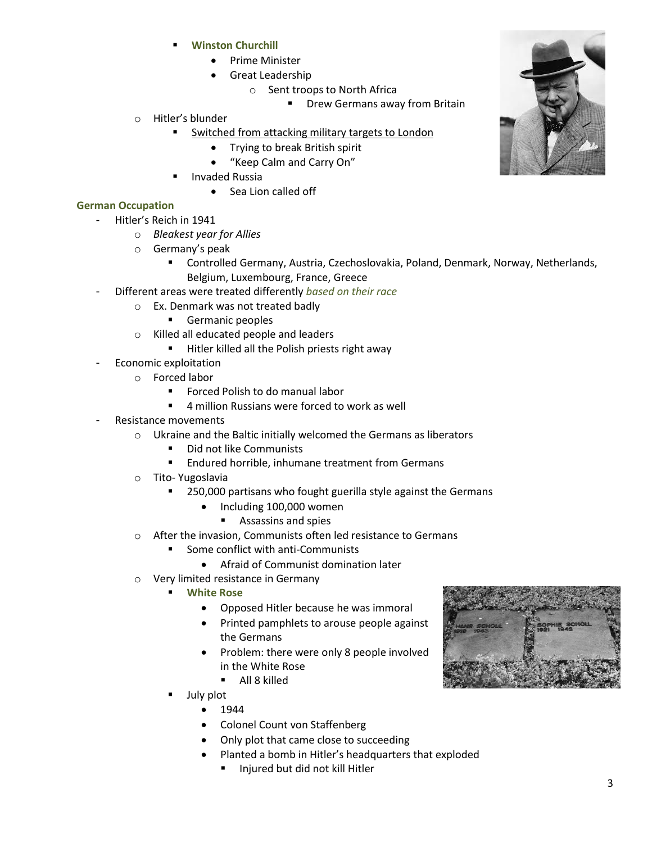- **Winston Churchill**
	- Prime Minister
	- Great Leadership
		- o Sent troops to North Africa
			- **Drew Germans away from Britain**
- o Hitler's blunder
	- Switched from attacking military targets to London
		- Trying to break British spirit
		- "Keep Calm and Carry On"
	- Invaded Russia
		- Sea Lion called off

## **German Occupation**

- Hitler's Reich in 1941
	- o *Bleakest year for Allies*
	- o Germany's peak
		- Controlled Germany, Austria, Czechoslovakia, Poland, Denmark, Norway, Netherlands, Belgium, Luxembourg, France, Greece
- Different areas were treated differently *based on their race*
	- o Ex. Denmark was not treated badly
		- **Germanic peoples**
	- o Killed all educated people and leaders
		- **Hitler killed all the Polish priests right away**
- Economic exploitation
	- o Forced labor
		- Forced Polish to do manual labor
		- 4 million Russians were forced to work as well
- Resistance movements
	- o Ukraine and the Baltic initially welcomed the Germans as liberators
		- Did not like Communists
		- **Endured horrible, inhumane treatment from Germans**
	- o Tito- Yugoslavia
		- 250,000 partisans who fought guerilla style against the Germans
			- Including 100,000 women
				- **Assassins and spies**
	- o After the invasion, Communists often led resistance to Germans
		- Some conflict with anti-Communists
			- Afraid of Communist domination later
	- o Very limited resistance in Germany
		- **White Rose**
			- Opposed Hitler because he was immoral
			- Printed pamphlets to arouse people against the Germans
			- Problem: there were only 8 people involved in the White Rose
				- All 8 killed
		- July plot
			- $1944$
			- Colonel Count von Staffenberg
			- Only plot that came close to succeeding
			- Planted a bomb in Hitler's headquarters that exploded
				- Injured but did not kill Hitler



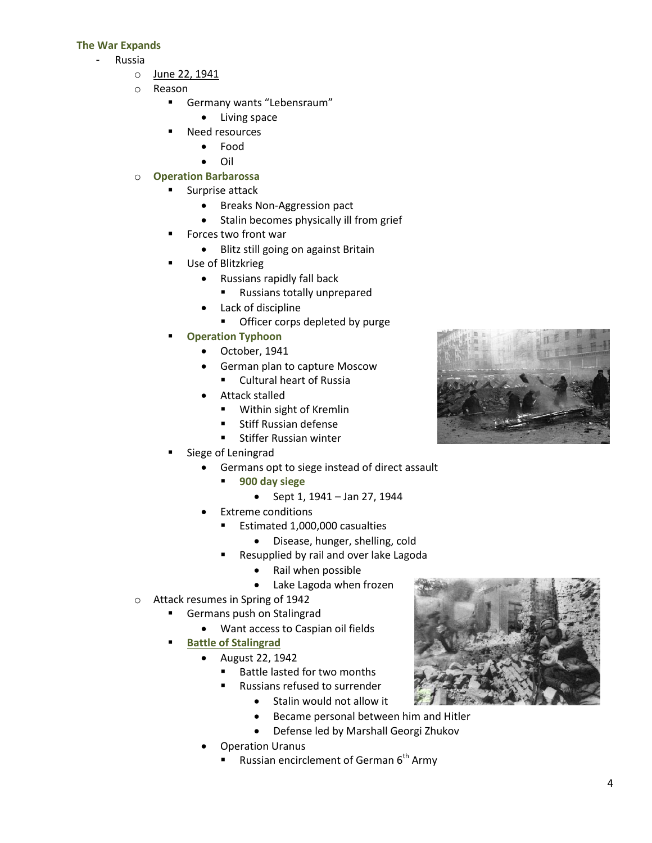#### **The War Expands**

- Russia
	- o June 22, 1941
	- o Reason
		- **Germany wants "Lebensraum"** 
			- Living space
		- Need resources
			- Food
			- $\bullet$  Oil
	- o **Operation Barbarossa**
		- Surprise attack
			- **•** Breaks Non-Aggression pact
			- Stalin becomes physically ill from grief
		- Forces two front war
			- Blitz still going on against Britain
		- Use of Blitzkrieg
			- Russians rapidly fall back
				- Russians totally unprepared
			- Lack of discipline
				- **•** Officer corps depleted by purge
		- **Operation Typhoon**
			- October, 1941
			- German plan to capture Moscow
				- **Cultural heart of Russia**
			- Attack stalled
				- Within sight of Kremlin
				- **EXECUTE:** Stiff Russian defense
				- **Stiffer Russian winter**
		- Siege of Leningrad
			- Germans opt to siege instead of direct assault
				- **900 day siege**
					- Sept 1, 1941 Jan 27, 1944
			- Extreme conditions
				- Estimated 1,000,000 casualties
					- Disease, hunger, shelling, cold
				- Resupplied by rail and over lake Lagoda
					- Rail when possible
					- Lake Lagoda when frozen
	- o Attack resumes in Spring of 1942
		- **Germans push on Stalingrad** 
			- Want access to Caspian oil fields
		- **Battle of Stalingrad**
			- August 22, 1942
				- Battle lasted for two months
				- Russians refused to surrender
					- Stalin would not allow it
					- Became personal between him and Hitler
					- Defense led by Marshall Georgi Zhukov
			- Operation Uranus
				- Russian encirclement of German  $6<sup>th</sup>$  Army



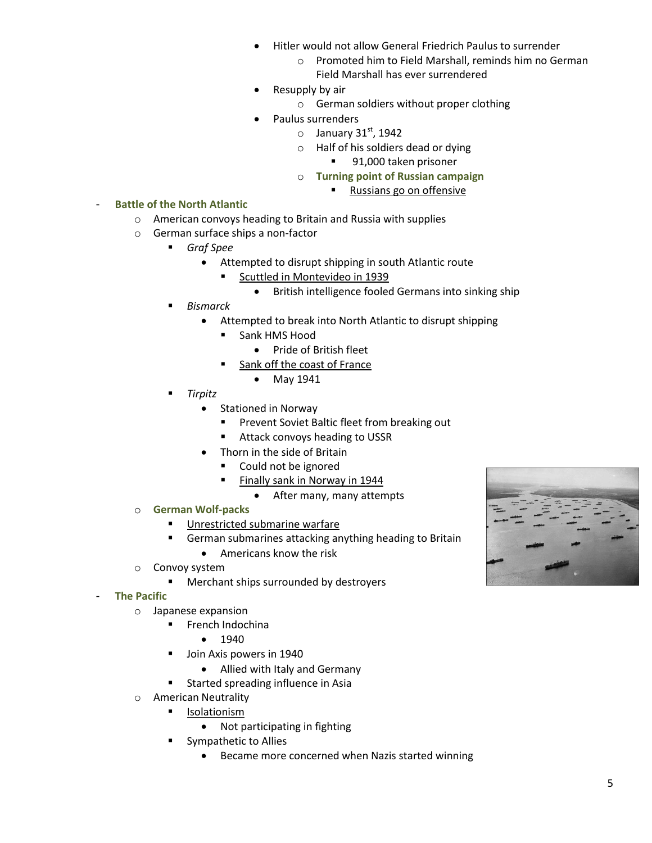- Hitler would not allow General Friedrich Paulus to surrender
	- o Promoted him to Field Marshall, reminds him no German Field Marshall has ever surrendered
- Resupply by air
	- o German soldiers without proper clothing
	- Paulus surrenders
		- $\circ$  January 31st, 1942
		- o Half of his soldiers dead or dying
			- 91,000 taken prisoner
		- o **Turning point of Russian campaign**
			- Russians go on offensive
- **Battle of the North Atlantic** 
	- o American convoys heading to Britain and Russia with supplies
	- o German surface ships a non-factor
		- *Graf Spee*
			- Attempted to disrupt shipping in south Atlantic route
				- **Scuttled in Montevideo in 1939** 
					- British intelligence fooled Germans into sinking ship
		- *Bismarck*
			- Attempted to break into North Atlantic to disrupt shipping
				- **Sank HMS Hood** 
					- Pride of British fleet
				- Sank off the coast of France
					- May 1941
		- *Tirpitz*
			- Stationed in Norway
				- **Prevent Soviet Baltic fleet from breaking out**
				- **Attack convoys heading to USSR**
			- Thorn in the side of Britain
				- Could not be ignored
				- Finally sank in Norway in 1944
					- After many, many attempts
	- o **German Wolf-packs**
		- **Unrestricted submarine warfare**
		- **German submarines attacking anything heading to Britain** 
			- Americans know the risk
	- o Convoy system
		- **Merchant ships surrounded by destroyers**
- **The Pacific**
	- o Japanese expansion
		- **French Indochina** 
			- $1940$
		- **Join Axis powers in 1940** 
			- Allied with Italy and Germany
		- **EXECUTE:** Started spreading influence in Asia
	- o American Neutrality
		- **I**solationism
			- Not participating in fighting
		- **Sympathetic to Allies** 
			- Became more concerned when Nazis started winning

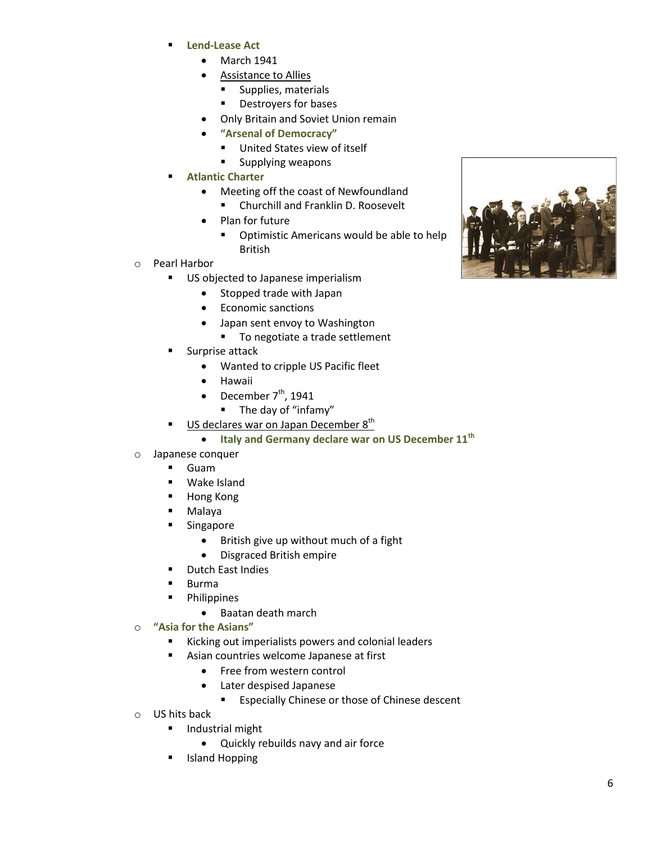- **Lend-Lease Act**
	- $\bullet$  March 1941
	- Assistance to Allies
		- **Supplies, materials**
		- **•** Destroyers for bases
	- Only Britain and Soviet Union remain
	- **"Arsenal of Democracy"**
		- **United States view of itself**
		- **Supplying weapons**
- **Atlantic Charter**
	- Meeting off the coast of Newfoundland
	- **E** Churchill and Franklin D. Roosevelt
	- Plan for future
		- **•** Optimistic Americans would be able to help British
- o Pearl Harbor
	- **US objected to Japanese imperialism** 
		- Stopped trade with Japan
		- Economic sanctions
		- Japan sent envoy to Washington
			- To negotiate a trade settlement
	- Surprise attack
		- Wanted to cripple US Pacific fleet
		- Hawaii
		- December  $7<sup>th</sup>$ , 1941
			- The day of "infamy"
	- US declares war on Japan December 8<sup>th</sup>
		- **Italy and Germany declare war on US December 11th**
- o Japanese conquer
	- Guam
	- **Wake Island**
	- **Hong Kong**
	- Malaya
	- **E** Singapore
		- British give up without much of a fight
		- Disgraced British empire
	- **•** Dutch East Indies
	- **Burma**
	- **•** Philippines
		- Baatan death march

### o **"Asia for the Asians"**

- Kicking out imperialists powers and colonial leaders
- **Asian countries welcome Japanese at first** 
	- Free from western control
	- Later despised Japanese
		- **Expecially Chinese or those of Chinese descent**
- o US hits back
	- **Industrial might** 
		- Quickly rebuilds navy and air force
	- Island Hopping